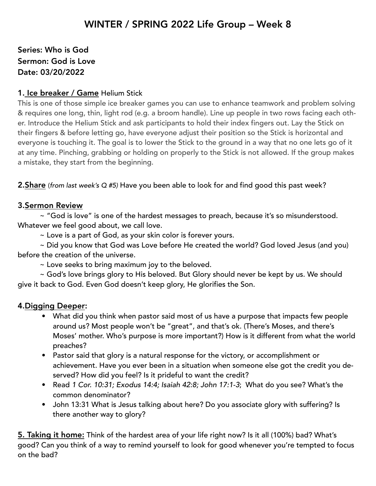# Series: Who is God Sermon: God is Love Date: 03/20/2022

#### 1. Ice breaker / Game [Helium Stick](https://www.sessionlab.com/methods/helium-stick)

This is one of those simple ice breaker games you can use to enhance teamwork and problem solving & requires one long, thin, light rod (e.g. a broom handle). Line up people in two rows facing each other. Introduce the Helium Stick and ask participants to hold their index fingers out. Lay the Stick on their fingers & before letting go, have everyone adjust their position so the Stick is horizontal and everyone is touching it. The goal is to lower the Stick to the ground in a way that no one lets go of it at any time. Pinching, grabbing or holding on properly to the Stick is not allowed. If the group makes a mistake, they start from the beginning.

2.Share (*from last week's Q #5)* Have you been able to look for and find good this past week?

### 3.Sermon Review

~ "God is love" is one of the hardest messages to preach, because it's so misunderstood. Whatever we feel good about, we call love.

~ Love is a part of God, as your skin color is forever yours.

~ Did you know that God was Love before He created the world? God loved Jesus (and you) before the creation of the universe.

~ Love seeks to bring maximum joy to the beloved.

~ God's love brings glory to His beloved. But Glory should never be kept by us. We should give it back to God. Even God doesn't keep glory, He glorifies the Son.

## 4.Digging Deeper:

- What did you think when pastor said most of us have a purpose that impacts few people around us? Most people won't be "great", and that's ok. (There's Moses, and there's Moses' mother. Who's purpose is more important?) How is it different from what the world preaches?
- Pastor said that glory is a natural response for the victory, or accomplishment or achievement. Have you ever been in a situation when someone else got the credit you deserved? How did you feel? Is it prideful to want the credit?
- Read *1 Cor. 10:31; Exodus 14:4; Isaiah 42:8; John 17:1-3*; What do you see? What's the common denominator?
- John 13:31 What is Jesus talking about here? Do you associate glory with suffering? Is there another way to glory?

5. Taking it home: Think of the hardest area of your life right now? Is it all (100%) bad? What's good? Can you think of a way to remind yourself to look for good whenever you're tempted to focus on the bad?